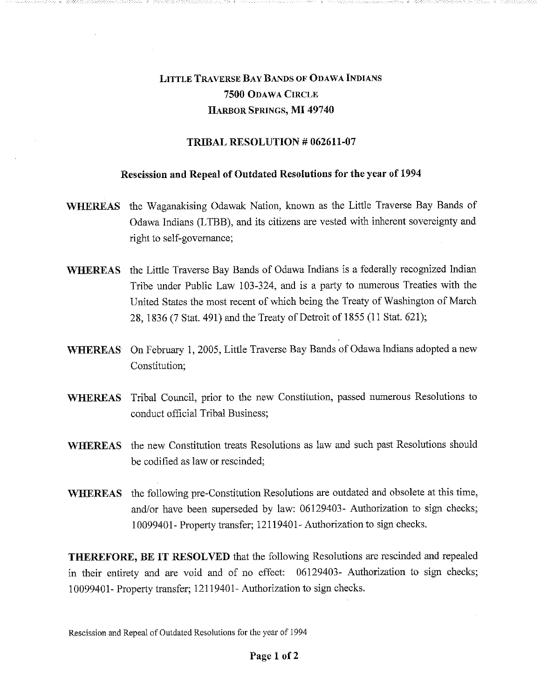## LITTLE TRAVERSE BAY BANDS OF ODAWA INDIANS 7500 ODAWA CIRCLE HARBOR SPRINGS, MI 49740

## TRIBAL RESOLUTION # 062611-07

## Rescission and Repeal of Outdated Resolutions for the year of 1994

- WHEREAS the Waganakising Odawak Nation, known as the Little Traverse Bay Bands of Odawa Indians (LTBB), and its citizens are vested with inherent sovereignty and right to self-governance;
- WHEREAS the Little Traverse Bay Bands of Odawa Indians is a federally recognized Indian Tribe under Public Law 103-324, and is a party to numerous Treaties with the United States the most recent of which being the Treaty of Washington of March 28, 1836 (7 Stat. 491) and the Treaty of Detroit of 1855 (11 Stat. 621);
- WHEREAS On February 1, 2005, Little Traverse Bay Bands of Odawa Indians adopted a new Constitution;
- WHEREAS Tribal Council, prior to the new Constitution, passed numerous Resolutions to conduct official Tribal Business;
- WHEREAS the new Constitution treats Resolutions as law and such past Resolutions should be codified as law or rescinded;
- WHEREAS the following pre-Constitution Resolutions are outdated and obsolete at this time, and/or have been superseded by law: 06129403- Authorization to sign checks; 10099401- Property transfer; 12119401- Authorization to sign checks.

THEREFORE, BE IT RESOLVED that the following Resolutions are rescinded and repealed in their entirety and are void and of no effect: 06129403- Authorization to sign checks; 10099401- Property transfer; 12119401- Authorization to sign checks.